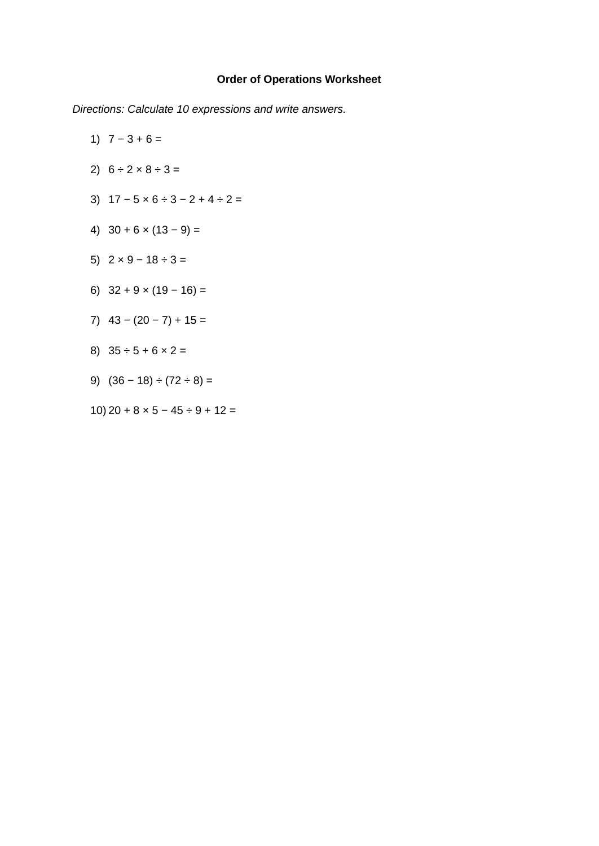## **Order of Operations Worksheet**

*Directions: Calculate 10 expressions and write answers.*

- 1)  $7 3 + 6 =$
- 2)  $6 \div 2 \times 8 \div 3 =$
- 3)  $17 5 \times 6 \div 3 2 + 4 \div 2 =$
- 4)  $30 + 6 \times (13 9) =$
- 5)  $2 \times 9 18 \div 3 =$
- 6)  $32 + 9 \times (19 16) =$
- 7)  $43 (20 7) + 15 =$
- 8)  $35 \div 5 + 6 \times 2 =$
- 9)  $(36 18) \div (72 \div 8) =$
- 10)  $20 + 8 \times 5 45 \div 9 + 12 =$